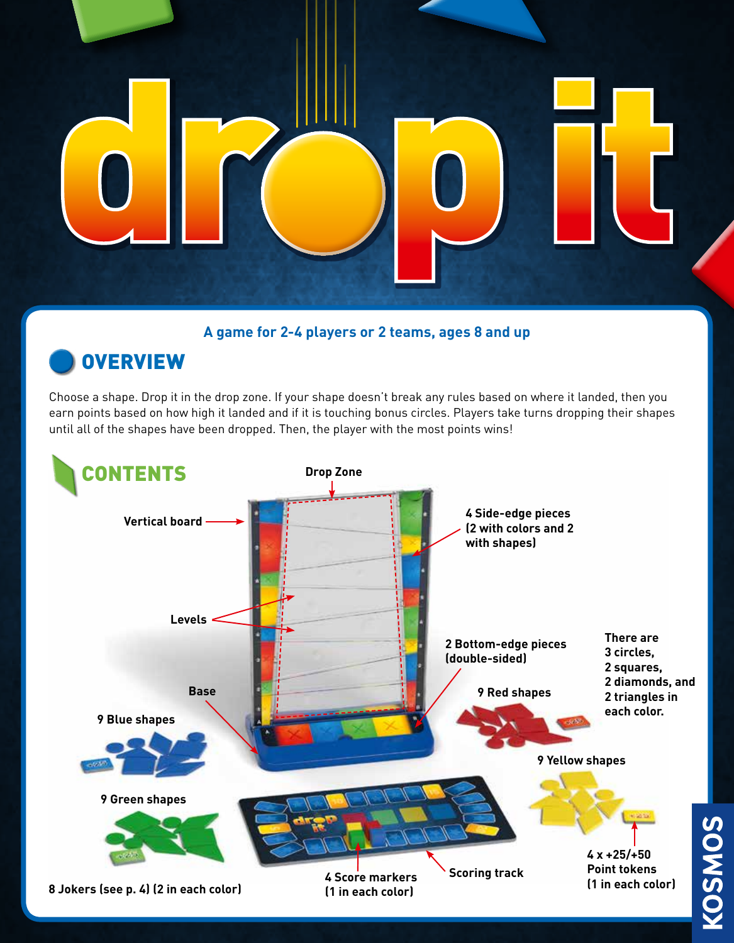

**A game for 2-4 players or 2 teams, ages 8 and up**

# **OVERVIEW**

Choose a shape. Drop it in the drop zone. If your shape doesn't break any rules based on where it landed, then you earn points based on how high it landed and if it is touching bonus circles. Players take turns dropping their shapes until all of the shapes have been dropped. Then, the player with the most points wins!



**KOSMOS**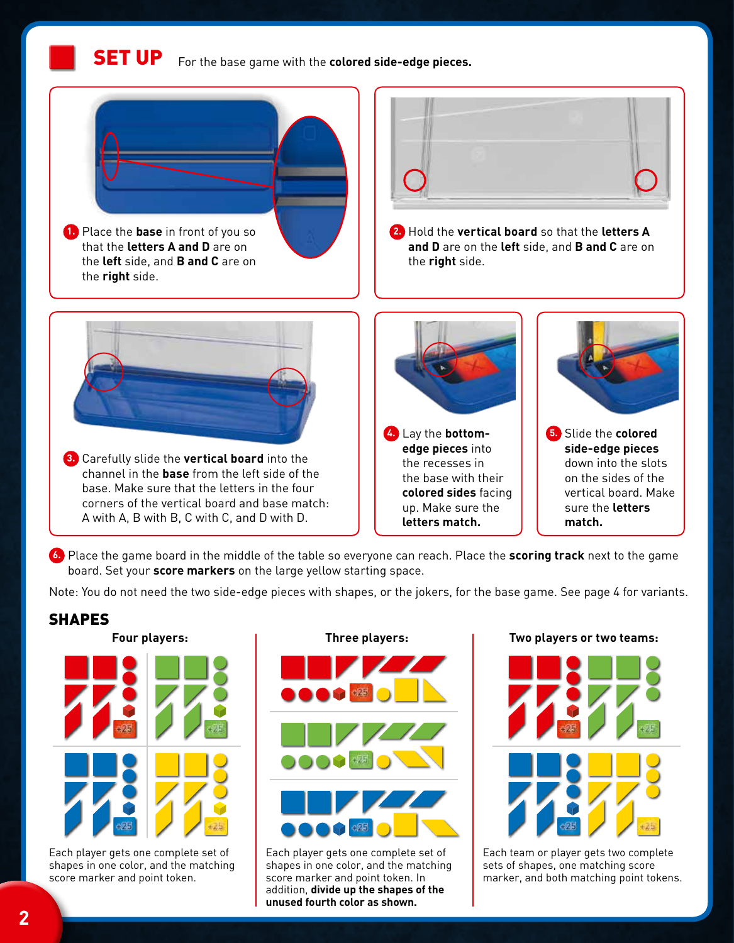**1.** Place the **base** in front of you so that the **letters A and D** are on the **left** side, and **B and C** are on the **right** side. **2.** Hold the **vertical board** so that the **letters A and D** are on the **left** side, and **B and C** are on the **right** side. **3.** Carefully slide the **vertical board** into the channel in the **base** from the left side of the base. Make sure that the letters in the four corners of the vertical board and base match: A with A, B with B, C with C, and D with D. **4.** Lay the **bottomedge pieces** into the recesses in the base with their **colored sides** facing up. Make sure the **letters match. 5.** Slide the **colored side-edge pieces** down into the slots on the sides of the vertical board. Make sure the **letters match.**

**6.** Place the game board in the middle of the table so everyone can reach. Place the **scoring track** next to the game board. Set your **score markers** on the large yellow starting space.

Note: You do not need the two side-edge pieces with shapes, or the jokers, for the base game. See page 4 for variants.

# **SHAPES**



Each player gets one complete set of shapes in one color, and the matching score marker and point token.

# **Three players:**

Each player gets one complete set of shapes in one color, and the matching score marker and point token. In addition, **divide up the shapes of the unused fourth color as shown.**

### **Two players or two teams:**



Each team or player gets two complete sets of shapes, one matching score marker, and both matching point tokens.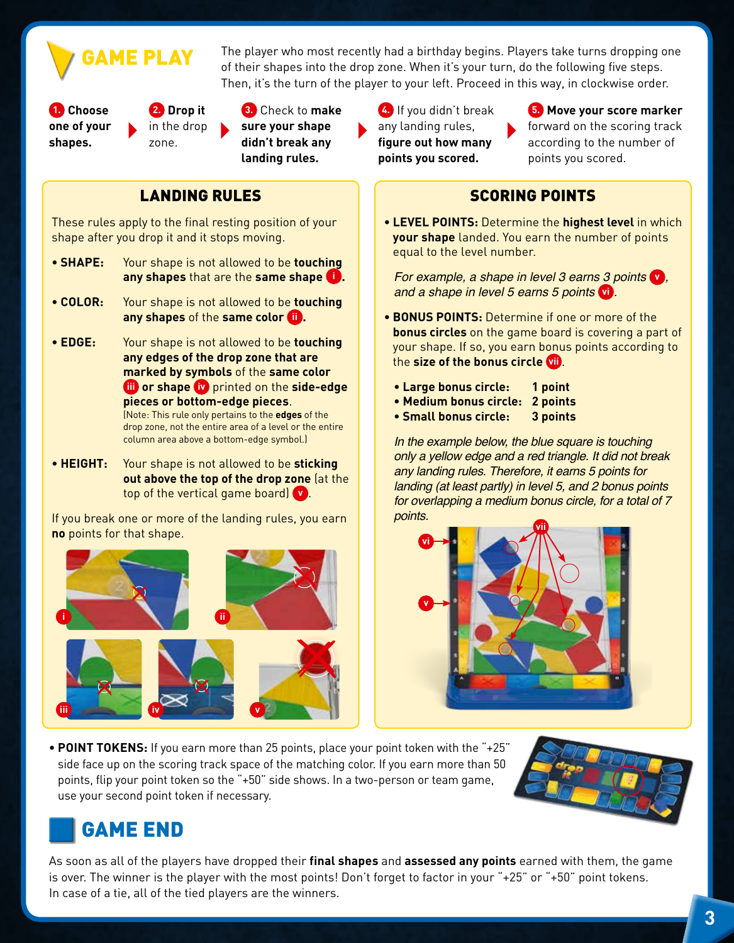**AME PLAY** 

The player who most recently had a birthday begins. Players take turns dropping one of their shapes into the drop zone. When it's your turn, do the following five steps. Then, it's the turn of the player to your left. Proceed in this way, in clockwise order.

**1. Choose one of your shapes.**

**2. Drop it**  in the drop

zone.

**3.** Check to **make sure your shape didn't break any landing rules.**

# LANDING RULES

These rules apply to the final resting position of your shape after you drop it and it stops moving.

- **SHAPE:** Your shape is not allowed to be **touching any shapes** that are the **same shape i .**
- **COLOR:** Your shape is not allowed to be **touching any shapes** of the **same color ii**
- **EDGE:** Your shape is not allowed to be **touching any edges of the drop zone that are marked by symbols** of the **same color iii or shape iv** printed on the **side-edge pieces or bottom-edge pieces**. (Note: This rule only pertains to the **edges** of the drop zone, not the entire area of a level or the entire column area above a bottom-edge symbol.)
- **HEIGHT:** Your shape is not allowed to be **sticking out above the top of the drop zone** (at the top of the vertical game board) **v** .

If you break one or more of the landing rules, you earn **no** points for that shape.



**4.** If you didn't break any landing rules, **figure out how many points you scored.**

**5. Move your score marker** forward on the scoring track according to the number of points you scored.

## SCORING POINTS

**• LEVEL POINTS:** Determine the **highest level** in which **your shape** landed. You earn the number of points equal to the level number.

For example, a shape in level 3 earns 3 points **v** , and a shape in level 5 earns 5 points **vi** .

- **BONUS POINTS:** Determine if one or more of the **bonus circles** on the game board is covering a part of your shape. If so, you earn bonus points according to the **size of the bonus circle vii** .
	- **Large bonus circle: 1 point**
	- **Medium bonus circle: 2 points**
	- **Small bonus circle: 3 points**

In the example below, the blue square is touching only a yellow edge and a red triangle. It did not break any landing rules. Therefore, it earns 5 points for landing (at least partly) in level 5, and 2 bonus points for overlapping a medium bonus circle, for a total of 7 points.



**• POINT TOKENS:** If you earn more than 25 points, place your point token with the "+25" side face up on the scoring track space of the matching color. If you earn more than 50 points, flip your point token so the "+50" side shows. In a two-person or team game, use your second point token if necessary.



# GAME END

As soon as all of the players have dropped their **final shapes** and **assessed any points** earned with them, the game is over. The winner is the player with the most points! Don't forget to factor in your "+25" or "+50" point tokens. In case of a tie, all of the tied players are the winners.